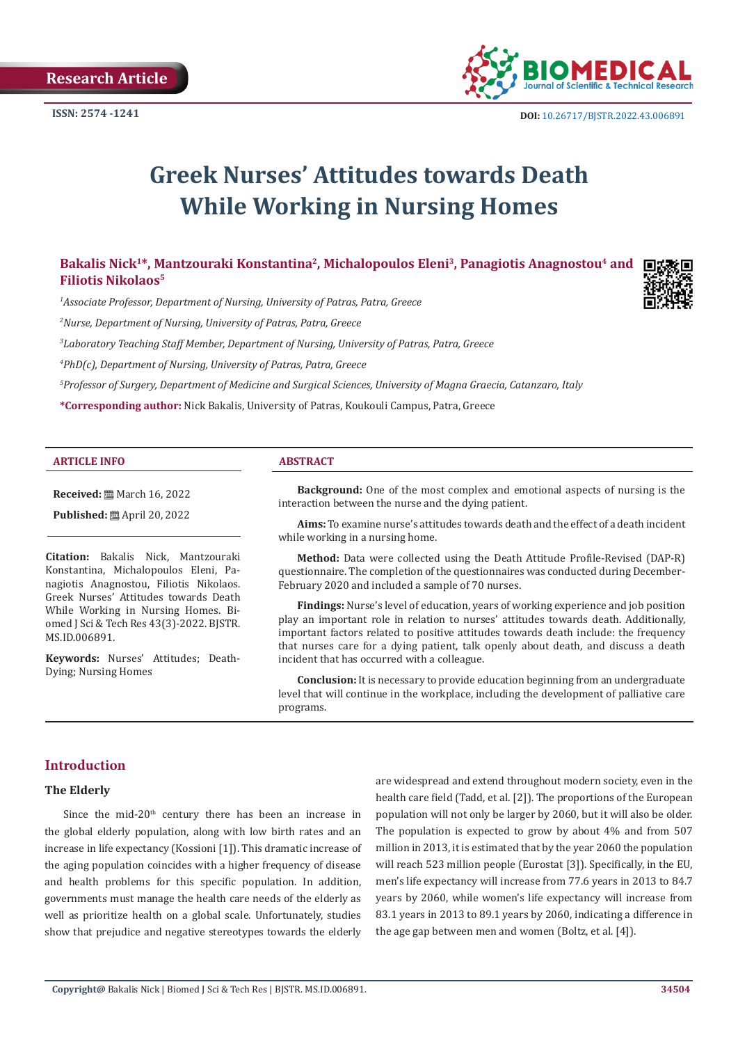

# **Greek Nurses' Attitudes towards Death While Working in Nursing Homes**

# Bakalis Nick<sup>1\*</sup>, Mantzouraki Konstantina<sup>2</sup>, Michalopoulos Eleni<sup>3</sup>, Panagiotis Anagnostou<sup>4</sup> and **Filiotis Nikolaos5**

*1 Associate Professor, Department of Nursing, University of Patras, Patra, Greece*

*2 Nurse, Department of Nursing, University of Patras, Patra, Greece*

*3 Laboratory Teaching Staff Member, Department of Nursing, University of Patras, Patra, Greece*

*4 PhD(c), Department of Nursing, University of Patras, Patra, Greece*

*5 Professor of Surgery, Department of Medicine and Surgical Sciences, University of Magna Graecia, Catanzaro, Italy*

**\*Corresponding author:** Nick Bakalis, University of Patras, Koukouli Campus, Patra, Greece

#### **ARTICLE INFO ABSTRACT**

**Received:** March 16, 2022

**Published:** April 20, 2022

**Citation:** Bakalis Nick, Mantzouraki Konstantina, Michalopoulos Eleni, Panagiotis Anagnostou, Filiotis Nikolaos. Greek Nurses' Attitudes towards Death While Working in Nursing Homes. Biomed J Sci & Tech Res 43(3)-2022. BJSTR. MS.ID.006891.

**Keywords:** Nurses' Attitudes; Death-Dying; Nursing Homes

**Background:** One of the most complex and emotional aspects of nursing is the interaction between the nurse and the dying patient.

**Aims:** To examine nurse's attitudes towards death and the effect of a death incident while working in a nursing home.

**Method:** Data were collected using the Death Attitude Profile-Revised (DAP-R) questionnaire. The completion of the questionnaires was conducted during December-February 2020 and included a sample of 70 nurses.

**Findings:** Nurse's level of education, years of working experience and job position play an important role in relation to nurses' attitudes towards death. Additionally, important factors related to positive attitudes towards death include: the frequency that nurses care for a dying patient, talk openly about death, and discuss a death incident that has occurred with a colleague.

**Conclusion:** It is necessary to provide education beginning from an undergraduate level that will continue in the workplace, including the development of palliative care programs.

# **Introduction**

#### **The Elderly**

Since the mid-20<sup>th</sup> century there has been an increase in the global elderly population, along with low birth rates and an increase in life expectancy (Kossioni [1]). This dramatic increase of the aging population coincides with a higher frequency of disease and health problems for this specific population. In addition, governments must manage the health care needs of the elderly as well as prioritize health on a global scale. Unfortunately, studies show that prejudice and negative stereotypes towards the elderly

are widespread and extend throughout modern society, even in the health care field (Tadd, et al. [2]). The proportions of the European population will not only be larger by 2060, but it will also be older. The population is expected to grow by about 4% and from 507 million in 2013, it is estimated that by the year 2060 the population will reach 523 million people (Eurostat [3]). Specifically, in the EU, men's life expectancy will increase from 77.6 years in 2013 to 84.7 years by 2060, while women's life expectancy will increase from 83.1 years in 2013 to 89.1 years by 2060, indicating a difference in the age gap between men and women (Boltz, et al. [4]).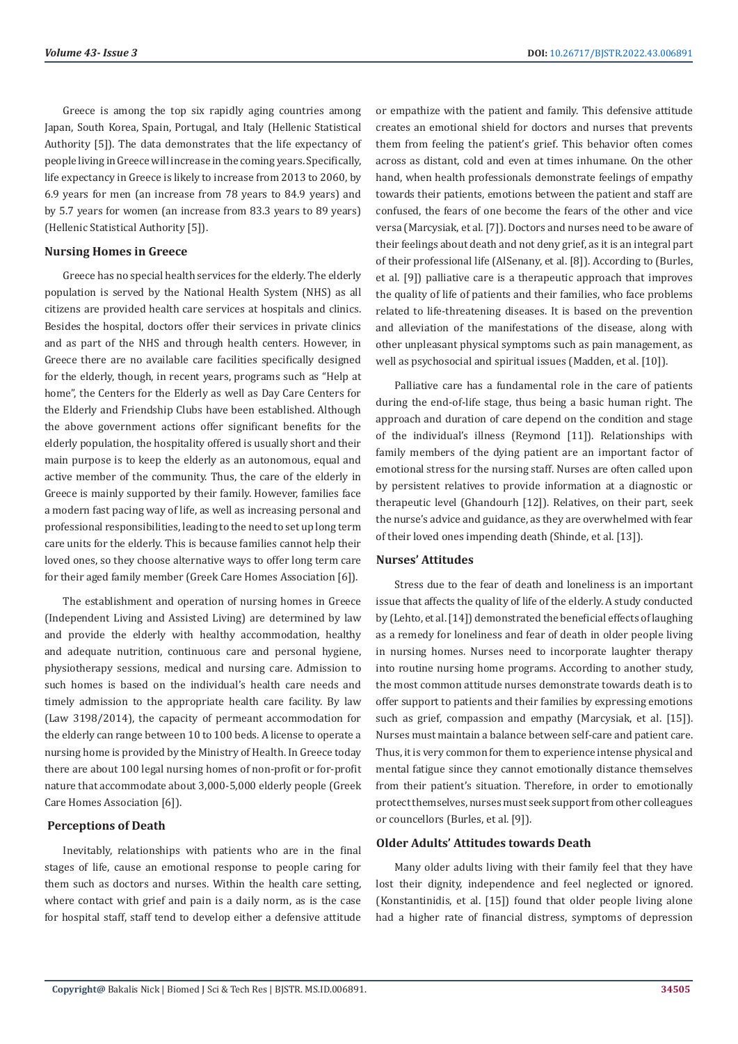Greece is among the top six rapidly aging countries among Japan, South Korea, Spain, Portugal, and Italy (Hellenic Statistical Authority [5]). The data demonstrates that the life expectancy of people living in Greece will increase in the coming years. Specifically, life expectancy in Greece is likely to increase from 2013 to 2060, by 6.9 years for men (an increase from 78 years to 84.9 years) and by 5.7 years for women (an increase from 83.3 years to 89 years) (Hellenic Statistical Authority [5]).

#### **Nursing Homes in Greece**

Greece has no special health services for the elderly. The elderly population is served by the National Health System (NHS) as all citizens are provided health care services at hospitals and clinics. Besides the hospital, doctors offer their services in private clinics and as part of the NHS and through health centers. However, in Greece there are no available care facilities specifically designed for the elderly, though, in recent years, programs such as "Help at home", the Centers for the Elderly as well as Day Care Centers for the Elderly and Friendship Clubs have been established. Although the above government actions offer significant benefits for the elderly population, the hospitality offered is usually short and their main purpose is to keep the elderly as an autonomous, equal and active member of the community. Thus, the care of the elderly in Greece is mainly supported by their family. However, families face a modern fast pacing way of life, as well as increasing personal and professional responsibilities, leading to the need to set up long term care units for the elderly. This is because families cannot help their loved ones, so they choose alternative ways to offer long term care for their aged family member (Greek Care Homes Association [6]).

The establishment and operation of nursing homes in Greece (Independent Living and Assisted Living) are determined by law and provide the elderly with healthy accommodation, healthy and adequate nutrition, continuous care and personal hygiene, physiotherapy sessions, medical and nursing care. Admission to such homes is based on the individual's health care needs and timely admission to the appropriate health care facility. By law (Law 3198/2014), the capacity of permeant accommodation for the elderly can range between 10 to 100 beds. A license to operate a nursing home is provided by the Ministry of Health. In Greece today there are about 100 legal nursing homes of non-profit or for-profit nature that accommodate about 3,000-5,000 elderly people (Greek Care Homes Association [6]).

#### **Perceptions of Death**

Inevitably, relationships with patients who are in the final stages of life, cause an emotional response to people caring for them such as doctors and nurses. Within the health care setting, where contact with grief and pain is a daily norm, as is the case for hospital staff, staff tend to develop either a defensive attitude or empathize with the patient and family. This defensive attitude creates an emotional shield for doctors and nurses that prevents them from feeling the patient's grief. This behavior often comes across as distant, cold and even at times inhumane. On the other hand, when health professionals demonstrate feelings of empathy towards their patients, emotions between the patient and staff are confused, the fears of one become the fears of the other and vice versa (Marcysiak, et al. [7]). Doctors and nurses need to be aware of their feelings about death and not deny grief, as it is an integral part of their professional life (AlSenany, et al. [8]). According to (Burles, et al. [9]) palliative care is a therapeutic approach that improves the quality of life of patients and their families, who face problems related to life-threatening diseases. It is based on the prevention and alleviation of the manifestations of the disease, along with other unpleasant physical symptoms such as pain management, as well as psychosocial and spiritual issues (Madden, et al. [10]).

Palliative care has a fundamental role in the care of patients during the end-of-life stage, thus being a basic human right. The approach and duration of care depend on the condition and stage of the individual's illness (Reymond [11]). Relationships with family members of the dying patient are an important factor of emotional stress for the nursing staff. Nurses are often called upon by persistent relatives to provide information at a diagnostic or therapeutic level (Ghandourh [12]). Relatives, on their part, seek the nurse's advice and guidance, as they are overwhelmed with fear of their loved ones impending death (Shinde, et al. [13]).

#### **Nurses' Attitudes**

Stress due to the fear of death and loneliness is an important issue that affects the quality of life of the elderly. A study conducted by (Lehto, et al. [14]) demonstrated the beneficial effects of laughing as a remedy for loneliness and fear of death in older people living in nursing homes. Nurses need to incorporate laughter therapy into routine nursing home programs. According to another study, the most common attitude nurses demonstrate towards death is to offer support to patients and their families by expressing emotions such as grief, compassion and empathy (Marcysiak, et al. [15]). Nurses must maintain a balance between self-care and patient care. Thus, it is very common for them to experience intense physical and mental fatigue since they cannot emotionally distance themselves from their patient's situation. Therefore, in order to emotionally protect themselves, nurses must seek support from other colleagues or councellors (Burles, et al. [9]).

#### **Older Adults' Attitudes towards Death**

Many older adults living with their family feel that they have lost their dignity, independence and feel neglected or ignored. (Konstantinidis, et al. [15]) found that older people living alone had a higher rate of financial distress, symptoms of depression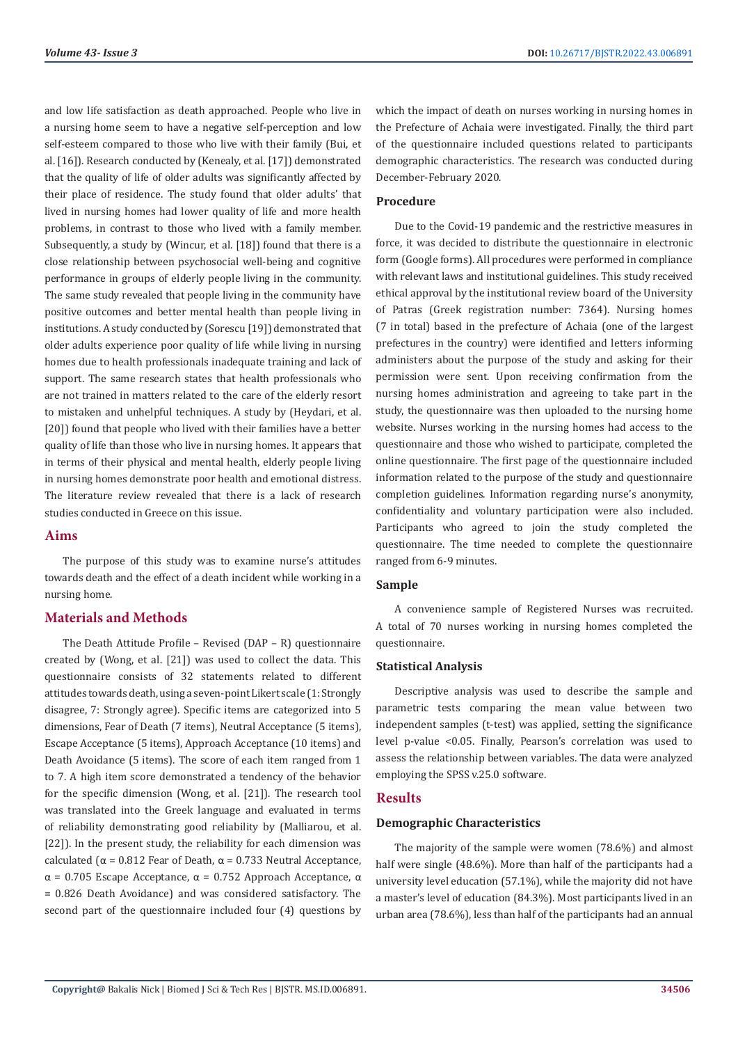and low life satisfaction as death approached. People who live in a nursing home seem to have a negative self-perception and low self-esteem compared to those who live with their family (Bui, et al. [16]). Research conducted by (Kenealy, et al. [17]) demonstrated that the quality of life of older adults was significantly affected by their place of residence. The study found that older adults' that lived in nursing homes had lower quality of life and more health problems, in contrast to those who lived with a family member. Subsequently, a study by (Wincur, et al. [18]) found that there is a close relationship between psychosocial well-being and cognitive performance in groups of elderly people living in the community. The same study revealed that people living in the community have positive outcomes and better mental health than people living in institutions. A study conducted by (Sorescu [19]) demonstrated that older adults experience poor quality of life while living in nursing homes due to health professionals inadequate training and lack of support. The same research states that health professionals who are not trained in matters related to the care of the elderly resort to mistaken and unhelpful techniques. A study by (Heydari, et al. [20]) found that people who lived with their families have a better quality of life than those who live in nursing homes. It appears that in terms of their physical and mental health, elderly people living in nursing homes demonstrate poor health and emotional distress. The literature review revealed that there is a lack of research studies conducted in Greece on this issue.

### **Aims**

The purpose of this study was to examine nurse's attitudes towards death and the effect of a death incident while working in a nursing home.

# **Materials and Methods**

The Death Attitude Profile – Revised (DAP – R) questionnaire created by (Wong, et al. [21]) was used to collect the data. This questionnaire consists of 32 statements related to different attitudes towards death, using a seven-point Likert scale (1: Strongly disagree, 7: Strongly agree). Specific items are categorized into 5 dimensions, Fear of Death (7 items), Neutral Acceptance (5 items), Escape Acceptance (5 items), Approach Acceptance (10 items) and Death Avoidance (5 items). The score of each item ranged from 1 to 7. A high item score demonstrated a tendency of the behavior for the specific dimension (Wong, et al. [21]). The research tool was translated into the Greek language and evaluated in terms of reliability demonstrating good reliability by (Malliarou, et al. [22]). In the present study, the reliability for each dimension was calculated ( $α = 0.812$  Fear of Death,  $α = 0.733$  Neutral Acceptance, α = 0.705 Escape Acceptance, α = 0.752 Approach Acceptance, α = 0.826 Death Avoidance) and was considered satisfactory. The second part of the questionnaire included four (4) questions by

which the impact of death on nurses working in nursing homes in the Prefecture of Achaia were investigated. Finally, the third part of the questionnaire included questions related to participants demographic characteristics. The research was conducted during December-February 2020.

# **Procedure**

Due to the Covid-19 pandemic and the restrictive measures in force, it was decided to distribute the questionnaire in electronic form (Google forms). All procedures were performed in compliance with relevant laws and institutional guidelines. This study received ethical approval by the institutional review board of the University of Patras (Greek registration number: 7364). Nursing homes (7 in total) based in the prefecture of Achaia (one of the largest prefectures in the country) were identified and letters informing administers about the purpose of the study and asking for their permission were sent. Upon receiving confirmation from the nursing homes administration and agreeing to take part in the study, the questionnaire was then uploaded to the nursing home website. Nurses working in the nursing homes had access to the questionnaire and those who wished to participate, completed the online questionnaire. The first page of the questionnaire included information related to the purpose of the study and questionnaire completion guidelines. Information regarding nurse's anonymity, confidentiality and voluntary participation were also included. Participants who agreed to join the study completed the questionnaire. The time needed to complete the questionnaire ranged from 6-9 minutes.

# **Sample**

A convenience sample of Registered Nurses was recruited. A total of 70 nurses working in nursing homes completed the questionnaire.

### **Statistical Analysis**

Descriptive analysis was used to describe the sample and parametric tests comparing the mean value between two independent samples (t-test) was applied, setting the significance level p-value <0.05. Finally, Pearson's correlation was used to assess the relationship between variables. The data were analyzed employing the SPSS v.25.0 software.

# **Results**

# **Demographic Characteristics**

The majority of the sample were women (78.6%) and almost half were single (48.6%). More than half of the participants had a university level education (57.1%), while the majority did not have a master's level of education (84.3%). Most participants lived in an urban area (78.6%), less than half of the participants had an annual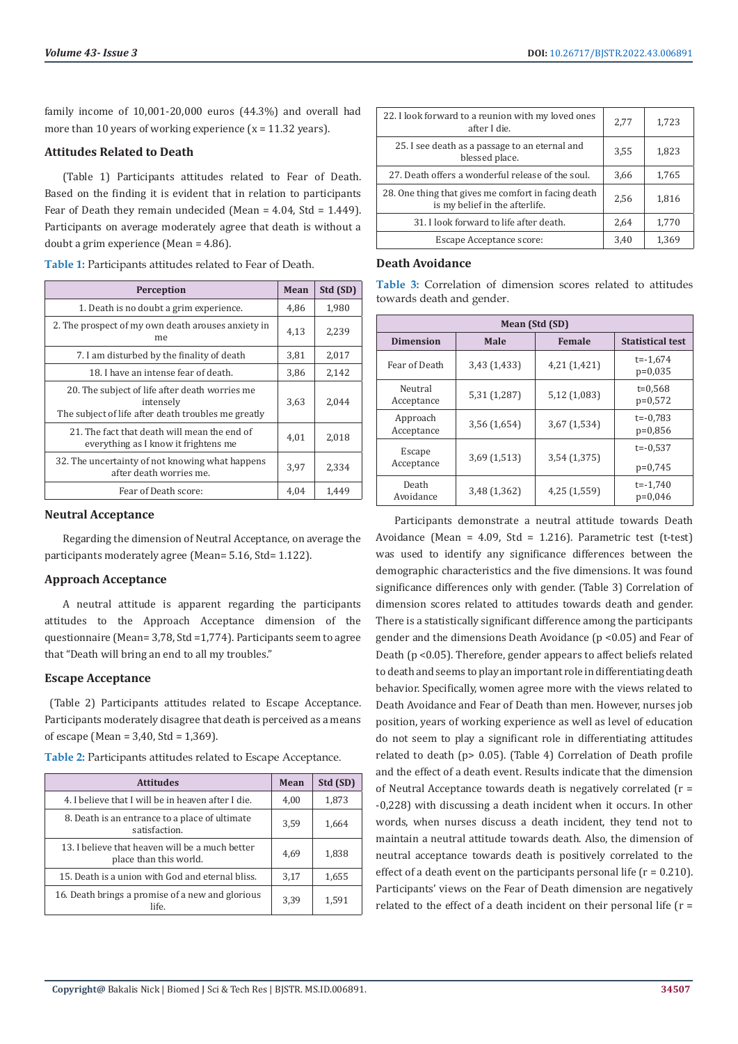family income of 10,001-20,000 euros (44.3%) and overall had more than 10 years of working experience  $(x = 11.32 \text{ years})$ .

#### **Attitudes Related to Death**

(Table 1) Participants attitudes related to Fear of Death. Based on the finding it is evident that in relation to participants Fear of Death they remain undecided (Mean =  $4.04$ , Std =  $1.449$ ). Participants on average moderately agree that death is without a doubt a grim experience (Mean = 4.86).

| <b>Table 1:</b> Participants attitudes related to Fear of Death. |
|------------------------------------------------------------------|
|------------------------------------------------------------------|

| Perception                                                                                                         | Mean | Std (SD) |
|--------------------------------------------------------------------------------------------------------------------|------|----------|
| 1. Death is no doubt a grim experience.                                                                            | 4,86 | 1,980    |
| 2. The prospect of my own death arouses anxiety in<br>me.                                                          | 4,13 | 2,239    |
| 7. I am disturbed by the finality of death                                                                         | 3,81 | 2,017    |
| 18. I have an intense fear of death.                                                                               | 3,86 | 2,142    |
| 20. The subject of life after death worries me<br>intensely<br>The subject of life after death troubles me greatly | 3,63 | 2,044    |
| 21. The fact that death will mean the end of<br>everything as I know it frightens me                               | 4,01 | 2,018    |
| 32. The uncertainty of not knowing what happens<br>after death worries me.                                         | 3.97 | 2,334    |
| Fear of Death score:                                                                                               | 4,04 | 1,449    |

#### **Neutral Acceptance**

Regarding the dimension of Neutral Acceptance, on average the participants moderately agree (Mean= 5.16, Std= 1.122).

### **Approach Acceptance**

A neutral attitude is apparent regarding the participants attitudes to the Approach Acceptance dimension of the questionnaire (Mean= 3,78, Std =1,774). Participants seem to agree that "Death will bring an end to all my troubles."

### **Escape Acceptance**

(Table 2) Participants attitudes related to Escape Acceptance. Participants moderately disagree that death is perceived as a means of escape (Mean = 3,40, Std = 1,369).

**Table 2:** Participants attitudes related to Escape Acceptance.

| <b>Attitudes</b>                                                          | Mean | Std (SD) |
|---------------------------------------------------------------------------|------|----------|
| 4. I believe that I will be in heaven after I die.                        | 4,00 | 1,873    |
| 8. Death is an entrance to a place of ultimate<br>satisfaction.           | 3.59 | 1,664    |
| 13. I believe that heaven will be a much better<br>place than this world. | 4,69 | 1,838    |
| 15. Death is a union with God and eternal bliss.                          | 3,17 | 1,655    |
| 16. Death brings a promise of a new and glorious<br>life.                 | 3,39 | 1,591    |

| 22. I look forward to a reunion with my loved ones<br>after I die.                    | 2,77 | 1,723 |
|---------------------------------------------------------------------------------------|------|-------|
| 25. I see death as a passage to an eternal and<br>blessed place.                      | 3,55 | 1,823 |
| 27. Death offers a wonderful release of the soul.                                     | 3,66 | 1,765 |
| 28. One thing that gives me comfort in facing death<br>is my belief in the afterlife. | 2,56 | 1,816 |
| 31. I look forward to life after death.                                               | 2,64 | 1,770 |
| Escape Acceptance score:                                                              | 3,40 | 1,369 |

#### **Death Avoidance**

**Table 3:** Correlation of dimension scores related to attitudes towards death and gender.

| Mean (Std (SD)         |                       |              |                           |  |
|------------------------|-----------------------|--------------|---------------------------|--|
| <b>Dimension</b>       | <b>Female</b><br>Male |              | <b>Statistical test</b>   |  |
| Fear of Death          | 3,43 (1,433)          | 4,21 (1,421) | $t = -1.674$<br>$p=0,035$ |  |
| Neutral<br>Acceptance  | 5,31 (1,287)          | 5,12 (1,083) | $t = 0.568$<br>$p=0.572$  |  |
| Approach<br>Acceptance | 3,56 (1,654)          | 3,67 (1,534) | $t = -0.783$<br>$p=0.856$ |  |
| Escape<br>Acceptance   | 3,69 (1,513)          | 3,54 (1,375) | $t = -0.537$              |  |
|                        |                       |              | $p=0,745$                 |  |
| Death<br>Avoidance     | 3,48 (1,362)          | 4,25 (1,559) | $t = -1,740$<br>$p=0,046$ |  |

Participants demonstrate a neutral attitude towards Death Avoidance (Mean =  $4.09$ , Std = 1.216). Parametric test (t-test) was used to identify any significance differences between the demographic characteristics and the five dimensions. It was found significance differences only with gender. (Table 3) Correlation of dimension scores related to attitudes towards death and gender. There is a statistically significant difference among the participants gender and the dimensions Death Avoidance (p <0.05) and Fear of Death (p <0.05). Therefore, gender appears to affect beliefs related to death and seems to play an important role in differentiating death behavior. Specifically, women agree more with the views related to Death Avoidance and Fear of Death than men. However, nurses job position, years of working experience as well as level of education do not seem to play a significant role in differentiating attitudes related to death (p> 0.05). (Table 4) Correlation of Death profile and the effect of a death event. Results indicate that the dimension of Neutral Acceptance towards death is negatively correlated (r = -0,228) with discussing a death incident when it occurs. In other words, when nurses discuss a death incident, they tend not to maintain a neutral attitude towards death. Also, the dimension of neutral acceptance towards death is positively correlated to the effect of a death event on the participants personal life  $(r = 0.210)$ . Participants' views on the Fear of Death dimension are negatively related to the effect of a death incident on their personal life  $(r =$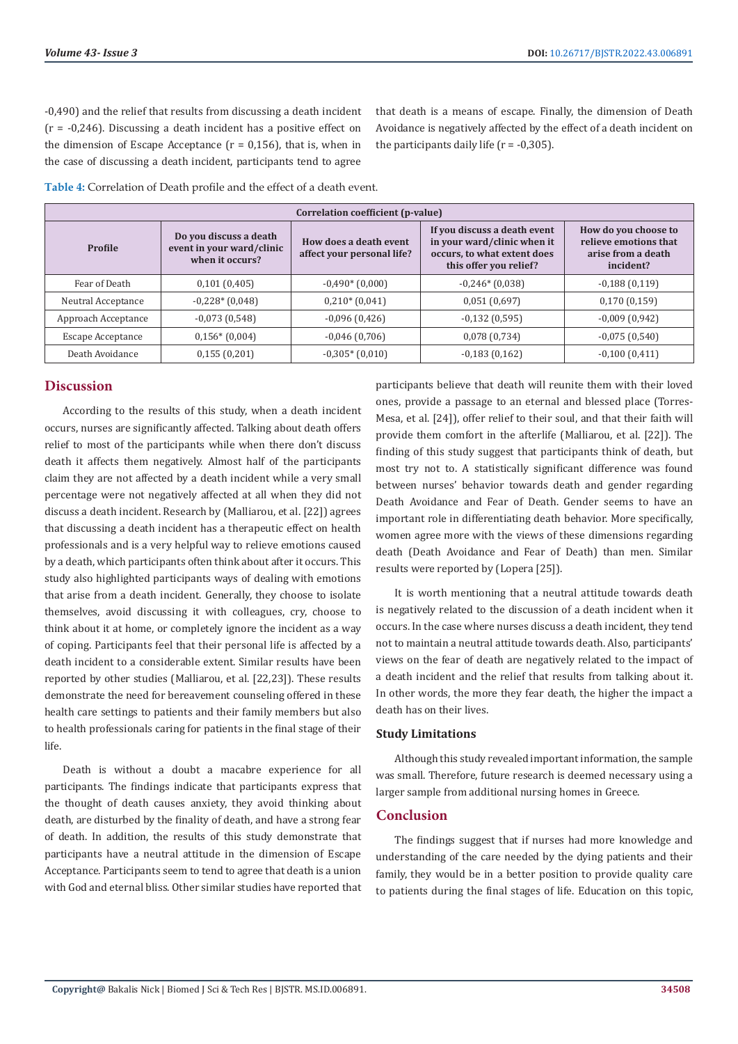-0,490) and the relief that results from discussing a death incident (r = -0,246). Discussing a death incident has a positive effect on the dimension of Escape Acceptance ( $r = 0.156$ ), that is, when in the case of discussing a death incident, participants tend to agree

that death is a means of escape. Finally, the dimension of Death Avoidance is negatively affected by the effect of a death incident on the participants daily life  $(r = -0.305)$ .

**Table 4:** Correlation of Death profile and the effect of a death event.

| Correlation coefficient (p-value) |                                                                        |                                                      |                                                                                                                      |                                                                                  |
|-----------------------------------|------------------------------------------------------------------------|------------------------------------------------------|----------------------------------------------------------------------------------------------------------------------|----------------------------------------------------------------------------------|
| Profile                           | Do you discuss a death<br>event in your ward/clinic<br>when it occurs? | How does a death event<br>affect your personal life? | If you discuss a death event<br>in your ward/clinic when it<br>occurs, to what extent does<br>this offer you relief? | How do you choose to<br>relieve emotions that<br>arise from a death<br>incident? |
| Fear of Death                     | 0,101(0,405)                                                           | $-0.490*(0.000)$                                     | $-0,246*(0,038)$                                                                                                     | $-0,188(0,119)$                                                                  |
| Neutral Acceptance                | $-0,228*(0,048)$                                                       | $0,210*(0,041)$                                      | 0,051(0,697)                                                                                                         | 0,170(0,159)                                                                     |
| Approach Acceptance               | $-0.073(0.548)$                                                        | $-0,096(0,426)$                                      | $-0,132(0,595)$                                                                                                      | $-0,009(0,942)$                                                                  |
| Escape Acceptance                 | $0,156*(0,004)$                                                        | $-0,046(0,706)$                                      | 0,078(0,734)                                                                                                         | $-0,075(0,540)$                                                                  |
| Death Avoidance                   | 0,155(0,201)                                                           | $-0,305*(0,010)$                                     | $-0,183(0,162)$                                                                                                      | $-0,100(0,411)$                                                                  |

#### **Discussion**

According to the results of this study, when a death incident occurs, nurses are significantly affected. Talking about death offers relief to most of the participants while when there don't discuss death it affects them negatively. Almost half of the participants claim they are not affected by a death incident while a very small percentage were not negatively affected at all when they did not discuss a death incident. Research by (Malliarou, et al. [22]) agrees that discussing a death incident has a therapeutic effect on health professionals and is a very helpful way to relieve emotions caused by a death, which participants often think about after it occurs. This study also highlighted participants ways of dealing with emotions that arise from a death incident. Generally, they choose to isolate themselves, avoid discussing it with colleagues, cry, choose to think about it at home, or completely ignore the incident as a way of coping. Participants feel that their personal life is affected by a death incident to a considerable extent. Similar results have been reported by other studies (Malliarou, et al. [22,23]). These results demonstrate the need for bereavement counseling offered in these health care settings to patients and their family members but also to health professionals caring for patients in the final stage of their life.

Death is without a doubt a macabre experience for all participants. The findings indicate that participants express that the thought of death causes anxiety, they avoid thinking about death, are disturbed by the finality of death, and have a strong fear of death. In addition, the results of this study demonstrate that participants have a neutral attitude in the dimension of Escape Acceptance. Participants seem to tend to agree that death is a union with God and eternal bliss. Other similar studies have reported that

participants believe that death will reunite them with their loved ones, provide a passage to an eternal and blessed place (Torres-Mesa, et al. [24]), offer relief to their soul, and that their faith will provide them comfort in the afterlife (Malliarou, et al. [22]). The finding of this study suggest that participants think of death, but most try not to. A statistically significant difference was found between nurses' behavior towards death and gender regarding Death Avoidance and Fear of Death. Gender seems to have an important role in differentiating death behavior. More specifically, women agree more with the views of these dimensions regarding death (Death Avoidance and Fear of Death) than men. Similar results were reported by (Lopera [25]).

It is worth mentioning that a neutral attitude towards death is negatively related to the discussion of a death incident when it occurs. In the case where nurses discuss a death incident, they tend not to maintain a neutral attitude towards death. Also, participants' views on the fear of death are negatively related to the impact of a death incident and the relief that results from talking about it. In other words, the more they fear death, the higher the impact a death has on their lives.

#### **Study Limitations**

Although this study revealed important information, the sample was small. Therefore, future research is deemed necessary using a larger sample from additional nursing homes in Greece.

# **Conclusion**

The findings suggest that if nurses had more knowledge and understanding of the care needed by the dying patients and their family, they would be in a better position to provide quality care to patients during the final stages of life. Education on this topic,